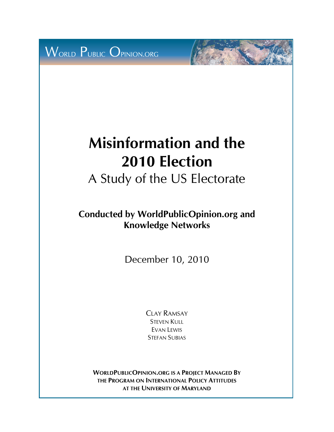WORLD PUBLIC OPINION.ORG

# **Misinformation and the 2010 Election**

A Study of the US Electorate

**Conducted by WorldPublicOpinion.org and Knowledge Networks** 

December 10, 2010

CLAY RAMSAY STEVEN KULL EVAN LEWIS STEFAN SUBIAS

**WORLDPUBLICOPINION.ORG IS A PROJECT MANAGED BY THE PROGRAM ON INTERNATIONAL POLICY ATTITUDES AT THE UNIVERSITY OF MARYLAND**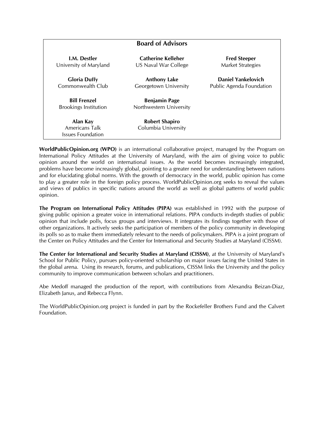|                              | <b>Board of Advisors</b> |                          |
|------------------------------|--------------------------|--------------------------|
| <b>I.M.</b> Destler          | Catherine Kelleher       | <b>Fred Steeper</b>      |
| University of Maryland       | US Naval War College     | <b>Market Strategies</b> |
| <b>Gloria Duffy</b>          | <b>Anthony Lake</b>      | Daniel Yankelovich       |
| Commonwealth Club            | Georgetown University    | Public Agenda Foundation |
| <b>Bill Frenzel</b>          | <b>Benjamin Page</b>     |                          |
| <b>Brookings Institution</b> | Northwestern University  |                          |
| Alan Kay                     | <b>Robert Shapiro</b>    |                          |
| Americans Talk               | Columbia University      |                          |
| Issues Foundation            |                          |                          |

**WorldPublicOpinion.org (WPO)** is an international collaborative project, managed by the Program on International Policy Attitudes at the University of Maryland, with the aim of giving voice to public opinion around the world on international issues. As the world becomes increasingly integrated, problems have become increasingly global, pointing to a greater need for understanding between nations and for elucidating global norms. With the growth of democracy in the world, public opinion has come to play a greater role in the foreign policy process. WorldPublicOpinion.org seeks to reveal the values and views of publics in specific nations around the world as well as global patterns of world public opinion.

**The Program on International Policy Attitudes (PIPA)** was established in 1992 with the purpose of giving public opinion a greater voice in international relations. PIPA conducts in-depth studies of public opinion that include polls, focus groups and interviews. It integrates its findings together with those of other organizations. It actively seeks the participation of members of the policy community in developing its polls so as to make them immediately relevant to the needs of policymakers. PIPA is a joint program of the Center on Policy Attitudes and the Center for International and Security Studies at Maryland (CISSM).

**The Center for International and Security Studies at Maryland (CISSM)**, at the University of Maryland's School for Public Policy, pursues policy-oriented scholarship on major issues facing the United States in the global arena. Using its research, forums, and publications, CISSM links the University and the policy community to improve communication between scholars and practitioners.

Abe Medoff managed the production of the report, with contributions from Alexandra Beizan-Diaz, Elizabeth Janus, and Rebecca Flynn.

The WorldPublicOpinion.org project is funded in part by the Rockefeller Brothers Fund and the Calvert Foundation.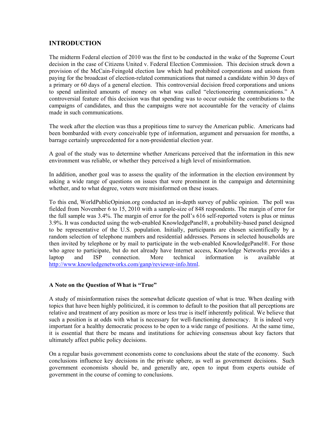### **INTRODUCTION**

The midterm Federal election of 2010 was the first to be conducted in the wake of the Supreme Court decision in the case of Citizens United v. Federal Election Commission. This decision struck down a provision of the McCain-Feingold election law which had prohibited corporations and unions from paying for the broadcast of election-related communications that named a candidate within 30 days of a primary or 60 days of a general election. This controversial decision freed corporations and unions to spend unlimited amounts of money on what was called "electioneering communications." A controversial feature of this decision was that spending was to occur outside the contributions to the campaigns of candidates, and thus the campaigns were not accountable for the veracity of claims made in such communications.

The week after the election was thus a propitious time to survey the American public. Americans had been bombarded with every conceivable type of information, argument and persuasion for months, a barrage certainly unprecedented for a non-presidential election year.

A goal of the study was to determine whether Americans perceived that the information in this new environment was reliable, or whether they perceived a high level of misinformation.

In addition, another goal was to assess the quality of the information in the election environment by asking a wide range of questions on issues that were prominent in the campaign and determining whether, and to what degree, voters were misinformed on these issues.

To this end, WorldPublicOpinion.org conducted an in-depth survey of public opinion. The poll was fielded from November 6 to 15, 2010 with a sample-size of 848 respondents. The margin of error for the full sample was 3.4%. The margin of error for the poll's 616 self-reported voters is plus or minus 3.9%. It was conducted using the web-enabled KnowledgePanel®, a probability-based panel designed to be representative of the U.S. population. Initially, participants are chosen scientifically by a random selection of telephone numbers and residential addresses. Persons in selected households are then invited by telephone or by mail to participate in the web-enabled KnowledgePanel®. For those who agree to participate, but do not already have Internet access, Knowledge Networks provides a laptop and ISP connection. More technical information is available at <http://www.knowledgenetworks.com/ganp/reviewer-info.html>.

#### **A Note on the Question of What is "True"**

A study of misinformation raises the somewhat delicate question of what is true. When dealing with topics that have been highly politicized, it is common to default to the position that all perceptions are relative and treatment of any position as more or less true is itself inherently political. We believe that such a position is at odds with what is necessary for well-functioning democracy. It is indeed very important for a healthy democratic process to be open to a wide range of positions. At the same time, it is essential that there be means and institutions for achieving consensus about key factors that ultimately affect public policy decisions.

On a regular basis government economists come to conclusions about the state of the economy. Such conclusions influence key decisions in the private sphere, as well as government decisions. Such government economists should be, and generally are, open to input from experts outside of government in the course of coming to conclusions.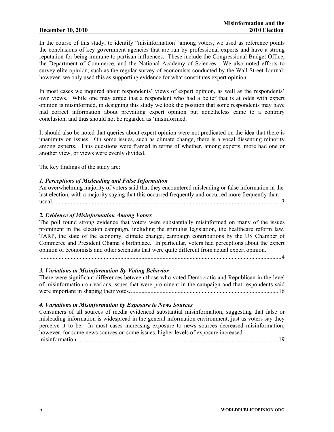In the course of this study, to identify "misinformation" among voters, we used as reference points the conclusions of key government agencies that are run by professional experts and have a strong reputation for being immune to partisan influences. These include the Congressional Budget Office, the Department of Commerce, and the National Academy of Sciences. We also noted efforts to survey elite opinion, such as the regular survey of economists conducted by the Wall Street Journal; however, we only used this as supporting evidence for what constitutes expert opinion.

In most cases we inquired about respondents' views of expert opinion, as well as the respondents' own views. While one may argue that a respondent who had a belief that is at odds with expert opinion is misinformed, in designing this study we took the position that some respondents may have had correct information about prevailing expert opinion but nonetheless came to a contrary conclusion, and thus should not be regarded as 'misinformed.'

It should also be noted that queries about expert opinion were not predicated on the idea that there is unanimity on issues. On some issues, such as climate change, there is a vocal dissenting minority among experts. Thus questions were framed in terms of whether, among experts, more had one or another view, or views were evenly divided.

The key findings of the study are:

#### *1. Perceptions of Misleading and False Information*

An overwhelming majority of voters said that they encountered misleading or false information in the last election, with a majority saying that this occurred frequently and occurred more frequently than usual. .......................................................................................................................................................3

#### *2. Evidence of Misinformation Among Voters*

The poll found strong evidence that voters were substantially misinformed on many of the issues prominent in the election campaign, including the stimulus legislation, the healthcare reform law, TARP, the state of the economy, climate change, campaign contributions by the US Chamber of Commerce and President Obama's birthplace. In particular, voters had perceptions about the expert opinion of economists and other scientists that were quite different from actual expert opinion.

................................................................................................................................................................4

#### *3. Variations in Misinformation By Voting Behavior*

There were significant differences between those who voted Democratic and Republican in the level of misinformation on various issues that were prominent in the campaign and that respondents said were important in shaping their votes...................................................................................................16

#### *4. Variations in Misinformation by Exposure to News Sources*

Consumers of all sources of media evidenced substantial misinformation, suggesting that false or misleading information is widespread in the general information environment, just as voters say they perceive it to be. In most cases increasing exposure to news sources decreased misinformation; however, for some news sources on some issues, higher levels of exposure increased misinformation......................................................................................................................................19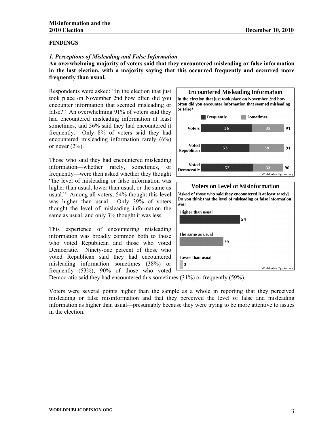#### **FINDINGS**

#### *1. Perceptions of Misleading and False Information*

**An overwhelming majority of voters said that they encountered misleading or false information in the last election, with a majority saying that this occurred frequently and occurred more frequently than usual.** 

Respondents were asked: "In the election that just took place on November 2nd how often did you encounter information that seemed misleading or false?" An overwhelming 91% of voters said they had encountered misleading information at least sometimes, and 56% said they had encountered it frequently. Only 8% of voters said they had encountered misleading information rarely (6%) or never  $(2\%)$ .

Those who said they had encountered misleading information—whether rarely, sometimes, or frequently—were then asked whether they thought "the level of misleading or false information was higher than usual, lower than usual, or the same as usual." Among all voters, 54% thought this level was higher than usual. Only 39% of voters thought the level of misleading information the same as usual, and only 3% thought it was less.

This experience of encountering misleading information was broadly common both to those who voted Republican and those who voted Democratic. Ninety-one percent of those who voted Republican said they had encountered misleading information sometimes (38%) or frequently (53%); 90% of those who voted





Democratic said they had encountered this sometimes (31%) or frequently (59%).

Voters were several points higher than the sample as a whole in reporting that they perceived misleading or false misinformation and that they perceived the level of false and misleading information as higher than usual—presumably because they were trying to be more attentive to issues in the election.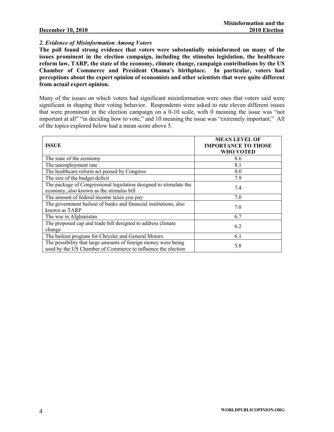#### *2. Evidence of Misinformation Among Voters*

**The poll found strong evidence that voters were substantially misinformed on many of the issues prominent in the election campaign, including the stimulus legislation, the healthcare reform law, TARP, the state of the economy, climate change, campaign contributions by the US Chamber of Commerce and President Obama's birthplace. In particular, voters had perceptions about the expert opinion of economists and other scientists that were quite different from actual expert opinion.** 

Many of the issues on which voters had significant misinformation were ones that voters said were significant in shaping their voting behavior. Respondents were asked to rate eleven different issues that were prominent in the election campaign on a 0-10 scale, with 0 meaning the issue was "not important at all" "in deciding how to vote," and 10 meaning the issue was "extremely important." All of the topics explored below had a mean score above 5.

| <b>ISSUE</b>                                                                                                                   | <b>MEAN LEVEL OF</b><br><b>IMPORTANCE TO THOSE</b><br>WHO VOTED |
|--------------------------------------------------------------------------------------------------------------------------------|-----------------------------------------------------------------|
| The state of the economy                                                                                                       | 8.6                                                             |
| The unemployment rate                                                                                                          | 8.1                                                             |
| The healthcare reform act passed by Congress                                                                                   | 8.0                                                             |
| The size of the budget deficit                                                                                                 | 7.9                                                             |
| The package of Congressional legislation designed to stimulate the<br>economy, also known as the stimulus bill                 | 7.4                                                             |
| The amount of federal income taxes you pay                                                                                     | 7.0                                                             |
| The government bailout of banks and financial institutions, also<br>known as TARP                                              | 7.0                                                             |
| The war in Afghanistan                                                                                                         | 6.7                                                             |
| The proposed cap and trade bill designed to address climate<br>change                                                          | 6.2                                                             |
| The bailout program for Chrysler and General Motors                                                                            | 6.1                                                             |
| The possibility that large amounts of foreign money were being<br>used by the US Chamber of Commerce to influence the election | 5.8                                                             |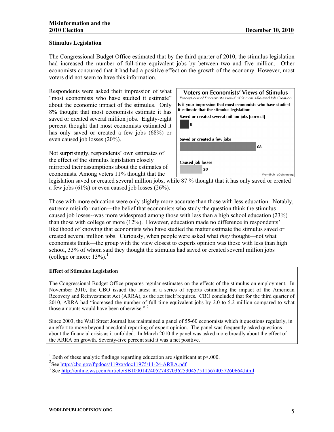#### **Stimulus Legislation**

The Congressional Budget Office estimated that by the third quarter of 2010, the stimulus legislation had increased the number of full-time equivalent jobs by between two and five million. Other economists concurred that it had had a positive effect on the growth of the economy. However, most voters did not seem to have this information.

Respondents were asked their impression of what "most economists who have studied it estimate" about the economic impact of the stimulus. Only 8% thought that most economists estimate it has saved or created several million jobs. Eighty-eight percent thought that most economists estimated it has only saved or created a few jobs (68%) or even caused job losses (20%).

Not surprisingly, respondents' own estimates of the effect of the stimulus legislation closely mirrored their assumptions about the estimates of economists. Among voters 11% thought that the

| Voters on Economists' Views of Stimulus<br>Perceptions of Economists Views' of Stimulus-Related Job Creation |                        |
|--------------------------------------------------------------------------------------------------------------|------------------------|
| Is it your impression that most economists who have studied<br>it estimate that the stimulus legislation:    |                        |
| Saved or created several million jobs [correct]<br>8                                                         |                        |
| Saved or created a few jobs                                                                                  |                        |
|                                                                                                              | 68                     |
| <b>Caused job losses</b><br>20                                                                               | WorldPublicOpinion.org |

legislation saved or created several million jobs, while 87 % thought that it has only saved or created a few jobs (61%) or even caused job losses (26%).

Those with more education were only slightly more accurate than those with less education. Notably, extreme misinformation—the belief that economists who study the question think the stimulus caused job losses--was more widespread among those with less than a high school education (23%) than those with college or more (12%). However, education made no difference in respondents' likelihood of knowing that economists who have studied the matter estimate the stimulus saved or created several million jobs. Curiously, when people were asked what *they* thought—not what economists think—the group with the view closest to experts opinion was those with less than high school, 33% of whom said they thought the stimulus had saved or created several million jobs (college or more:  $13\%$  $13\%$ ).<sup>1</sup>

#### **Effect of Stimulus Legislation**

The Congressional Budget Office prepares regular estimates on the effects of the stimulus on employment. In November 2010, the CBO issued the latest in a series of reports estimating the impact of the American Recovery and Reinvestment Act (ARRA), as the act itself requires. CBO concluded that for the third quarter of 2010, ARRA had "increased the number of full time-equivalent jobs by 2.0 to 5.2 million compared to what those amounts would have been otherwise."<sup>[2](#page-6-1)</sup>

Since 2003, the Wall Street Journal has maintained a panel of 55-60 economists which it questions regularly, in an effort to move beyond anecdotal reporting of expert opinion. The panel was frequently asked questions about the financial crisis as it unfolded. In March 2010 the panel was asked more broadly about the effect of the ARRA on growth. Seventy-five percent said it was a net positive.  $3$ 

<span id="page-6-0"></span> $\overline{a}$ <sup>1</sup> Both of these analytic findings regarding education are significant at  $p<0.00$ .

<span id="page-6-1"></span><sup>&</sup>lt;sup>2</sup>See <http://cbo.gov/ftpdocs/119xx/doc11975/11-24-ARRA.pdf>

<span id="page-6-2"></span><sup>&</sup>lt;sup>3</sup> See <http://online.wsj.com/article/SB10001424052748703625304575115674057260664.html>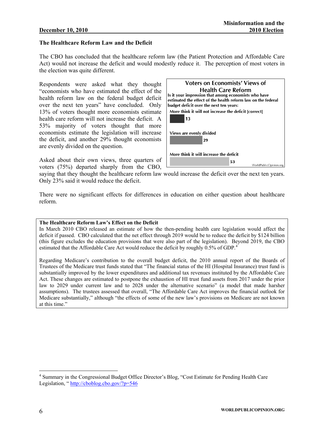#### **The Healthcare Reform Law and the Deficit**

The CBO has concluded that the healthcare reform law (the Patient Protection and Affordable Care Act) would not increase the deficit and would modestly reduce it. The perception of most voters in the election was quite different.

Respondents were asked what they thought "economists who have estimated the effect of the health reform law on the federal budget deficit over the next ten years" have concluded. Only 13% of voters thought more economists estimate health care reform will not increase the deficit. A 53% majority of voters thought that more economists estimate the legislation will increase the deficit, and another 29% thought economists are evenly divided on the question.

Asked about their own views, three quarters of voters (75%) departed sharply from the CBO,



saying that they thought the healthcare reform law would increase the deficit over the next ten years. Only 23% said it would reduce the deficit.

There were no significant effects for differences in education on either question about healthcare reform.

#### **The Healthcare Reform Law's Effect on the Deficit**

In March 2010 CBO released an estimate of how the then-pending health care legislation would affect the deficit if passed. CBO calculated that the net effect through 2019 would be to reduce the deficit by \$124 billion (this figure excludes the education provisions that were also part of the legislation). Beyond 2019, the CBO estimated that the Affordable Care Act would reduce the deficit by roughly 0.5% of GDP.<sup>[4](#page-7-0)</sup>

Regarding Medicare's contribution to the overall budget deficit, the 2010 annual report of the Boards of Trustees of the Medicare trust funds stated that "The financial status of the HI (Hospital Insurance) trust fund is substantially improved by the lower expenditures and additional tax revenues instituted by the Affordable Care Act. These changes are estimated to postpone the exhaustion of HI trust fund assets from 2017 under the prior law to 2029 under current law and to 2028 under the alternative scenario" (a model that made harsher assumptions). The trustees assessed that overall, "The Affordable Care Act improves the financial outlook for Medicare substantially," although "the effects of some of the new law's provisions on Medicare are not known at this time."

<span id="page-7-0"></span><sup>&</sup>lt;sup>4</sup> Summary in the Congressional Budget Office Director's Blog, "Cost Estimate for Pending Health Care Legislation, "<http://cboblog.cbo.gov/?p=546>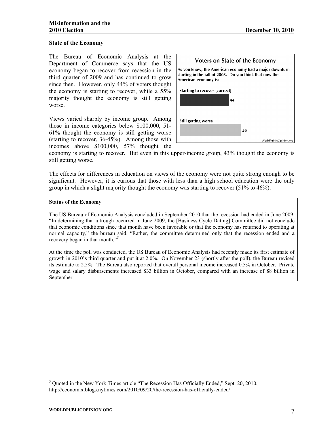#### **State of the Economy**

The Bureau of Economic Analysis at the Department of Commerce says that the US economy began to recover from recession in the third quarter of 2009 and has continued to grow since then. However, only 44% of voters thought the economy is starting to recover, while a 55% majority thought the economy is still getting worse.

Views varied sharply by income group. Among those in income categories below \$100,000, 51- 61% thought the economy is still getting worse (starting to recover, 36-45%). Among those with incomes above \$100,000, 57% thought the



economy is starting to recover. But even in this upper-income group, 43% thought the economy is still getting worse.

The effects for differences in education on views of the economy were not quite strong enough to be significant. However, it is curious that those with less than a high school education were the only group in which a slight majority thought the economy was starting to recover (51% to 46%).

#### **Status of the Economy**

The US Bureau of Economic Analysis concluded in September 2010 that the recession had ended in June 2009. "In determining that a trough occurred in June 2009, the [Business Cycle Dating] Committee did not conclude that economic conditions since that month have been favorable or that the economy has returned to operating at normal capacity," the bureau said. "Rather, the committee determined only that the recession ended and a recovery began in that month."<sup>[5](#page-8-0)</sup>

At the time the poll was conducted, the US Bureau of Economic Analysis had recently made its first estimate of growth in 2010's third quarter and put it at 2.0%. On November 23 (shortly after the poll), the Bureau revised its estimate to 2.5%. The Bureau also reported that overall personal income increased 0.5% in October. Private wage and salary disbursements increased \$33 billion in October, compared with an increase of \$8 billion in September

<span id="page-8-0"></span><sup>&</sup>lt;sup>5</sup> Quoted in the New York Times article "The Recession Has Officially Ended," Sept. 20, 2010, http://economix.blogs.nytimes.com/2010/09/20/the-recession-has-officially-ended/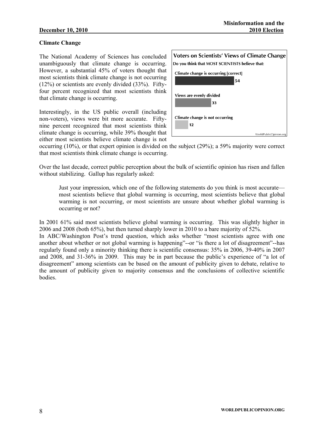#### **Climate Change**

The National Academy of Sciences has concluded unambiguously that climate change is occurring. However, a substantial 45% of voters thought that most scientists think climate change is not occurring (12%) or scientists are evenly divided (33%). Fiftyfour percent recognized that most scientists think that climate change is occurring.

Interestingly, in the US public overall (including non-voters), views were bit more accurate. Fiftynine percent recognized that most scientists think climate change is occurring, while 39% thought that either most scientists believe climate change is not



occurring (10%), or that expert opinion is divided on the subject (29%); a 59% majority were correct that most scientists think climate change is occurring.

Over the last decade, correct public perception about the bulk of scientific opinion has risen and fallen without stabilizing. Gallup has regularly asked:

Just your impression, which one of the following statements do you think is most accurate most scientists believe that global warming is occurring, most scientists believe that global warming is not occurring, or most scientists are unsure about whether global warming is occurring or not?

In 2001 61% said most scientists believe global warming is occurring. This was slightly higher in 2006 and 2008 (both 65%), but then turned sharply lower in 2010 to a bare majority of 52%.

In ABC/Washington Post's trend question, which asks whether "most scientists agree with one another about whether or not global warming is happening"--or "is there a lot of disagreement"--has regularly found only a minority thinking there is scientific consensus: 35% in 2006, 39-40% in 2007 and 2008, and 31-36% in 2009. This may be in part because the public's experience of "a lot of disagreement" among scientists can be based on the amount of publicity given to debate, relative to the amount of publicity given to majority consensus and the conclusions of collective scientific **bodies**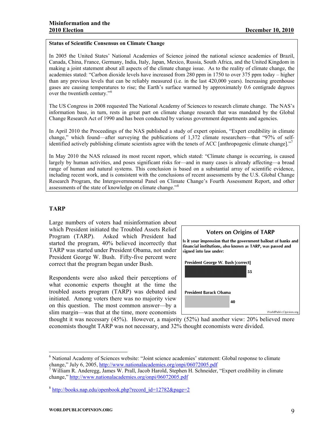#### **Status of Scientific Consensus on Climate Change**

In 2005 the United States' National Academies of Science joined the national science academies of Brazil, Canada, China, France, Germany, India, Italy, Japan, Mexico, Russia, South Africa, and the United Kingdom in making a joint statement about all aspects of the climate change issue. As to the reality of climate change, the academies stated: "Carbon dioxide levels have increased from 280 ppm in 1750 to over 375 ppm today – higher than any previous levels that can be reliably measured (i.e. in the last 420,000 years). Increasing greenhouse gases are causing temperatures to rise; the Earth's surface warmed by approximately 0.6 centigrade degrees over the twentieth century."[6](#page-10-0)

The US Congress in 2008 requested The National Academy of Sciences to research climate change. The NAS's information base, in turn, rests in great part on climate change research that was mandated by the Global Change Research Act of 1990 and has been conducted by various government departments and agencies.

In April 2010 the Proceedings of the NAS published a study of expert opinion, "Expert credibility in climate change," which found—after surveying the publications of 1,372 climate researchers—that "97% of self-identified actively publishing climate scientists agree with the tenets of ACC [anthropogenic climate change]."<sup>[7](#page-10-1)</sup>

In May 2010 the NAS released its most recent report, which stated: "Climate change is occurring, is caused largely by human activities, and poses significant risks for—and in many cases is already affecting—a broad range of human and natural systems. This conclusion is based on a substantial array of scientific evidence, including recent work, and is consistent with the conclusions of recent assessments by the U.S. Global Change Research Program, the Intergovernmental Panel on Climate Change's Fourth Assessment Report, and other assessments of the state of knowledge on climate change."[8](#page-10-2)

#### **TARP**

 $\overline{a}$ 

Large numbers of voters had misinformation about which President initiated the Troubled Assets Relief Program (TARP). Asked which President had started the program, 40% believed incorrectly that TARP was started under President Obama, not under President George W. Bush. Fifty-five percent were correct that the program began under Bush.

Respondents were also asked their perceptions of what economic experts thought at the time the troubled assets program (TARP) was debated and initiated. Among voters there was no majority view on this question. The most common answer—by a slim margin—was that at the time, more economists



thought it was necessary (45%). However, a majority (52%) had another view: 20% believed more economists thought TARP was not necessary, and 32% thought economists were divided.

<span id="page-10-0"></span><sup>&</sup>lt;sup>6</sup> National Academy of Sciences website: "Joint science academies' statement: Global response to climate change," July 6, 2005, <http://www.nationalacademies.org/onpi/06072005.pdf> <sup>7</sup>

<span id="page-10-1"></span><sup>&</sup>lt;sup>7</sup> William R. Anderegg, James W. Prall, Jacob Harold, Stephen H. Schneider, "Expert credibility in climate change," <http://www.nationalacademies.org/onpi/06072005.pdf>

<span id="page-10-2"></span> $8 \text{ http://books.nap.edu/openbook.php?record}$  id=12782&page=2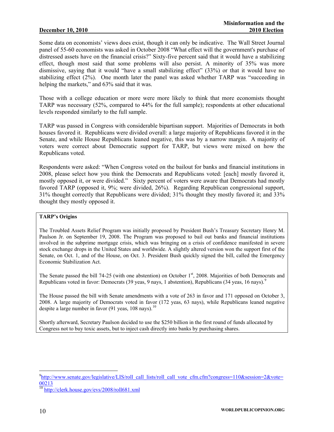Some data on economists' views does exist, though it can only be indicative. The Wall Street Journal panel of 55-60 economists was asked in October 2008 "What effect will the government's purchase of distressed assets have on the financial crisis?" Sixty-five percent said that it would have a stabilizing effect, though most said that some problems will also persist. A minority of 35% was more dismissive, saying that it would "have a small stabilizing effect" (33%) or that it would have no stabilizing effect (2%). One month later the panel was asked whether TARP was "succeeding in helping the markets," and 63% said that it was.

Those with a college education or more were more likely to think that more economists thought TARP was necessary (52%, compared to 44% for the full sample); respondents at other educational levels responded similarly to the full sample.

TARP was passed in Congress with considerable bipartisan support. Majorities of Democrats in both houses favored it. Republicans were divided overall: a large majority of Republicans favored it in the Senate, and while House Republicans leaned negative, this was by a narrow margin. A majority of voters were correct about Democratic support for TARP, but views were mixed on how the Republicans voted.

Respondents were asked: "When Congress voted on the bailout for banks and financial institutions in 2008, please select how you think the Democrats and Republicans voted: [each] mostly favored it, mostly opposed it, or were divided." Sixty percent of voters were aware that Democrats had mostly favored TARP (opposed it, 9%; were divided, 26%). Regarding Republican congressional support, 31% thought correctly that Republicans were divided; 31% thought they mostly favored it; and 33% thought they mostly opposed it.

#### **TARP's Origins**

The Troubled Assets Relief Program was initially proposed by President Bush's Treasury Secretary Henry M. Paulson Jr. on September 19, 2008. The Program was proposed to bail out banks and financial institutions involved in the subprime mortgage crisis, which was bringing on a crisis of confidence manifested in severe stock exchange drops in the United States and worldwide. A slightly altered version won the support first of the Senate, on Oct. 1, and of the House, on Oct. 3. President Bush quickly signed the bill, called the Emergency Economic Stabilization Act.

The Senate passed the bill 74-25 (with one abstention) on October 1<sup>st</sup>, 2008. Majorities of both Democrats and Republicans voted in favor: Democrats (3[9](#page-11-0) yeas, 9 nays, 1 abstention), Republicans (34 yeas, 16 nays).<sup>9</sup>

The House passed the bill with Senate amendments with a vote of 263 in favor and 171 opposed on October 3, 2008. A large majority of Democrats voted in favor (172 yeas, 63 nays), while Republicans leaned negative despite a large number in favor (91 yeas, [10](#page-11-1)8 navs).<sup>10</sup>

Shortly afterward, Secretary Paulson decided to use the \$250 billion in the first round of funds allocated by Congress not to buy toxic assets, but to inject cash directly into banks by purchasing shares.

<span id="page-11-0"></span> $^{9}$ [http://www.senate.gov/legislative/LIS/roll\\_call\\_lists/roll\\_call\\_vote\\_cfm.cfm?congress=110&session=2&vote=](http://www.senate.gov/legislative/LIS/roll_call_lists/roll_call_vote_cfm.cfm?congress=110&session=2&vote=00213) [00213](http://www.senate.gov/legislative/LIS/roll_call_lists/roll_call_vote_cfm.cfm?congress=110&session=2&vote=00213)

<span id="page-11-1"></span><sup>&</sup>lt;sup>10</sup> <http://clerk.house.gov/evs/2008/roll681.xml>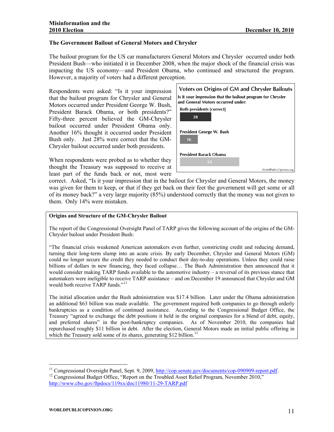#### **The Government Bailout of General Motors and Chrysler**

The bailout program for the US car manufacturers General Motors and Chrysler occurred under both President Bush—who initiated it in December 2008, when the major shock of the financial crisis was impacting the US economy—and President Obama, who continued and structured the program. However, a majority of voters had a different perception.

Respondents were asked: "Is it your impression that the bailout program for Chrysler and General Motors occurred under President George W. Bush, President Barack Obama, or both presidents?" Fifty-three percent believed the GM-Chrysler bailout occurred under President Obama only. Another 16% thought it occurred under President Bush only. Just 28% were correct that the GM-Chrysler bailout occurred under both presidents.

When respondents were probed as to whether they thought the Treasury was supposed to receive at least part of the funds back or not, most were



correct. Asked, "Is it your impression that in the bailout for Chrysler and General Motors, the money was given for them to keep, or that if they get back on their feet the government will get some or all of its money back?" a very large majority (85%) understood correctly that the money was not given to them. Only 14% were mistaken.

#### **Origins and Structure of the GM-Chrysler Bailout**

The report of the Congressional Oversight Panel of TARP gives the following account of the origins of the GM-Chrysler bailout under President Bush:

"The financial crisis weakened American automakers even further, constricting credit and reducing demand, turning their long-term slump into an acute crisis. By early December, Chrysler and General Motors (GM) could no longer secure the credit they needed to conduct their day-to-day operations. Unless they could raise billions of dollars in new financing, they faced collapse… The Bush Administration then announced that it would consider making TARP funds available to the automotive industry – a reversal of its previous stance that automakers were ineligible to receive TARP assistance – and on December 19 announced that Chrysler and GM would both receive TARP funds."<sup>[11](#page-12-0)</sup>

The initial allocation under the Bush administration was \$17.4 billion. Later under the Obama administration an additional \$63 billion was made available. The government required both companies to go through orderly bankruptcies as a condition of continued assistance. According to the Congressional Budget Office, the Treasury "agreed to exchange the debt positions it held in the original companies for a blend of debt, equity, and preferred shares" in the post-bankruptcy companies. As of November 2010, the companies had repurchased roughly \$11 billion in debt. After the election, General Motors made an initial public offering in which the Treasury sold some of its shares, generating \$[12](#page-12-1) billion.<sup>12</sup>

<span id="page-12-0"></span><sup>&</sup>lt;sup>11</sup> Congressional Oversight Panel, Sept. 9, 2009, <u>http://cop.senate.gov/documents/cop-090909-report.pdf</u>.<br><sup>12</sup> Congressional Budget Office, "Report on the Troubled Asset Relief Program, November 2010,"

<span id="page-12-1"></span><http://www.cbo.gov/ftpdocs/119xx/doc11980/11-29-TARP.pdf>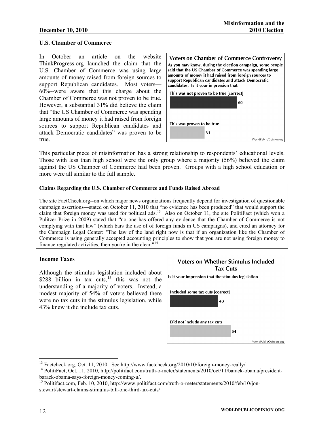#### **U.S. Chamber of Commerce**

In October an article on the website ThinkProgress.org launched the claim that the U.S. Chamber of Commerce was using large amounts of money raised from foreign sources to support Republican candidates. Most voters— 60%--were aware that this charge about the Chamber of Commerce was not proven to be true. However, a substantial 31% did believe the claim that "the US Chamber of Commerce was spending large amounts of money it had raised from foreign sources to support Republican candidates and attack Democratic candidates" was proven to be true.



This particular piece of misinformation has a strong relationship to respondents' educational levels. Those with less than high school were the only group where a majority (56%) believed the claim against the US Chamber of Commerce had been proven. Groups with a high school education or more were all similar to the full sample.

#### **Claims Regarding the U.S. Chamber of Commerce and Funds Raised Abroad**

The site FactCheck.org--on which major news organizations frequently depend for investigation of questionable campaign assertions—stated on October 11, 2010 that "no evidence has been produced" that would support the claim that foreign money was used for political ads.<sup>[13](#page-13-0)</sup> Also on October 11, the site PolitiFact (which won a Pulitzer Prize in 2009) stated that "no one has offered any evidence that the Chamber of Commerce is not complying with that law" (which bars the use of of foreign funds in US campaigns), and cited an attorney for the Campaign Legal Center: "The law of the land right now is that if an organization like the Chamber of Commerce is using generally accepted accounting principles to show that you are not using foreign money to finance regulated activities, then you're in the clear."[14](#page-13-1)

#### **Income Taxes**

Although the stimulus legislation included about \$288 billion in tax cuts,<sup>[15](#page-13-2)</sup> this was not the understanding of a majority of voters. Instead, a modest majority of 54% of voters believed there were no tax cuts in the stimulus legislation, while 43% knew it did include tax cuts.



<span id="page-13-1"></span><span id="page-13-0"></span><sup>&</sup>lt;sup>13</sup> Factcheck.org, Oct. 11, 2010. See http://www.factcheck.org/2010/10/foreign-money-really/<br><sup>14</sup> PolitiFact, Oct. 11, 2010, http://politifact.com/truth-o-meter/statements/2010/oct/11/barack-obama/presidentbarack-obama-says-foreign-money-coming-u/.

<span id="page-13-2"></span><sup>&</sup>lt;sup>15</sup> Politifact.com, Feb. 10, 2010, http://www.politifact.com/truth-o-meter/statements/2010/feb/10/jonstewart/stewart-claims-stimulus-bill-one-third-tax-cuts/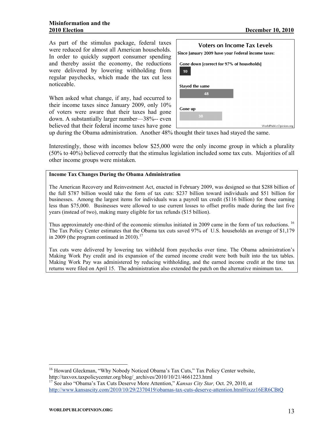As part of the stimulus package, federal taxes were reduced for almost all American households. In order to quickly support consumer spending and thereby assist the economy, the reductions were delivered by lowering withholding from regular paychecks, which made the tax cut less noticeable.

When asked what change, if any, had occurred to their income taxes since January 2009, only 10% of voters were aware that their taxes had gone down. A substantially larger number—38%-- even believed that their federal income taxes have gone

| Voters on Income Tax Levels                     |                                                    |  |  |  |  |  |  |
|-------------------------------------------------|----------------------------------------------------|--|--|--|--|--|--|
|                                                 | Since January 2009 have your Federal income taxes: |  |  |  |  |  |  |
|                                                 |                                                    |  |  |  |  |  |  |
| Gone down [correct for 97% of households]<br>10 |                                                    |  |  |  |  |  |  |
|                                                 |                                                    |  |  |  |  |  |  |
| Stayed the same                                 |                                                    |  |  |  |  |  |  |
| 48                                              |                                                    |  |  |  |  |  |  |
|                                                 |                                                    |  |  |  |  |  |  |
|                                                 |                                                    |  |  |  |  |  |  |
|                                                 |                                                    |  |  |  |  |  |  |
| <b>Gone up</b>                                  |                                                    |  |  |  |  |  |  |
|                                                 |                                                    |  |  |  |  |  |  |
| 38                                              |                                                    |  |  |  |  |  |  |
|                                                 |                                                    |  |  |  |  |  |  |
|                                                 | WorldPublicOpinion.org                             |  |  |  |  |  |  |

up during the Obama administration. Another 48% thought their taxes had stayed the same.

Interestingly, those with incomes below \$25,000 were the only income group in which a plurality (50% to 40%) believed correctly that the stimulus legislation included some tax cuts. Majorities of all other income groups were mistaken.

#### **Income Tax Changes During the Obama Administration**

The American Recovery and Reinvestment Act, enacted in February 2009, was designed so that \$288 billion of the full \$787 billion would take the form of tax cuts: \$237 billion toward individuals and \$51 billion for businesses. Among the largest items for individuals was a payroll tax credit (\$116 billion) for those earning less than \$75,000. Businesses were allowed to use current losses to offset profits made during the last five years (instead of two), making many eligible for tax refunds (\$15 billion).

Thus approximately one-third of the economic stimulus initiated in 2009 came in the form of tax reductions. <sup>16</sup> The Tax Policy Center estimates that the Obama tax cuts saved 97% of U.S. households an average of \$1,179 in 2009 (the program continued in 2010).<sup>[17](#page-14-1)</sup>

Tax cuts were delivered by lowering tax withheld from paychecks over time. The Obama administration's Making Work Pay credit and its expansion of the earned income credit were both built into the tax tables. Making Work Pay was administered by reducing withholding, and the earned income credit at the time tax returns were filed on April 15. The administration also extended the patch on the alternative minimum tax.

<span id="page-14-0"></span><sup>&</sup>lt;sup>16</sup> Howard Gleckman, "Why Nobody Noticed Obama's Tax Cuts," Tax Policy Center website, http://taxvox.taxpolicycenter.org/blog/\_archives/2010/10/21/4661223.html

<span id="page-14-1"></span><sup>17</sup> See also "Obama's Tax Cuts Deserve More Attention," *Kansas City Star,* Oct. 29, 2010, at <http://www.kansascity.com/2010/10/29/2370419/obamas-tax-cuts-deserve-attention.html#ixzz16ER6CBtQ>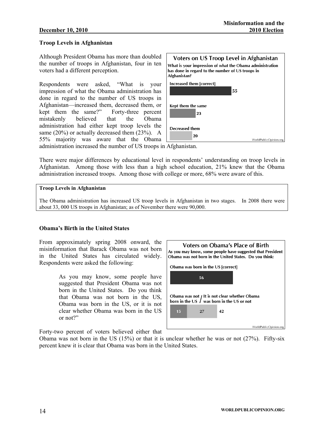#### **Troop Levels in Afghanistan**

Although President Obama has more than doubled the number of troops in Afghanistan, four in ten voters had a different perception.

Respondents were asked, "What is your impression of what the Obama administration has done in regard to the number of US troops in Afghanistan—increased them, decreased them, or kept them the same?" Forty-three percent mistakenly believed that the Obama administration had either kept troop levels the same  $(20\%)$  or actually decreased them  $(23\%)$ . A 55% majority was aware that the Obama



administration increased the number of US troops in Afghanistan.

There were major differences by educational level in respondents' understanding on troop levels in Afghanistan. Among those with less than a high school education, 21% knew that the Obama administration increased troops. Among those with college or more, 68% were aware of this.

#### **Troop Levels in Afghanistan**

The Obama administration has increased US troop levels in Afghanistan in two stages. In 2008 there were about 33, 000 US troops in Afghanistan; as of November there were 90,000.

#### **Obama's Birth in the United States**

From approximately spring 2008 onward, the misinformation that Barack Obama was not born in the United States has circulated widely. Respondents were asked the following:

> As you may know, some people have suggested that President Obama was not born in the United States. Do you think that Obama was not born in the US, Obama was born in the US, or it is not clear whether Obama was born in the US or not?"

Obama was not born in the United States. Do you think: Obama was born in the US [correct] 56 Obama was not *I* It is not clear whether Obama born in the US  $\int$  was born in the US or not 15 27 42

**Voters on Obama's Place of Birth** As you may know, some people have suggested that President

Forty-two percent of voters believed either that

Obama was not born in the US (15%) or that it is unclear whether he was or not (27%). Fifty-six percent knew it is clear that Obama was born in the United States.

WorldPublicOpinion.org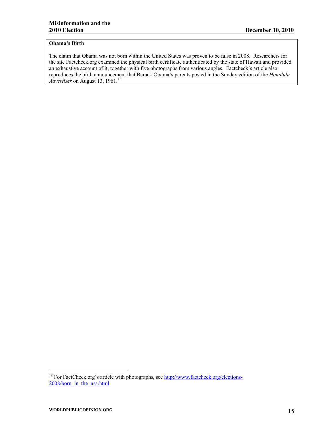#### **Obama's Birth**

The claim that Obama was not born within the United States was proven to be false in 2008. Researchers for the site Factcheck.org examined the physical birth certificate authenticated by the state of Hawaii and provided an exhaustive account of it, together with five photographs from various angles. Factcheck's article also reproduces the birth announcement that Barack Obama's parents posted in the Sunday edition of the *Honolulu Advertiser* on August 13, 1961.<sup>[18](#page-16-0)</sup>

<span id="page-16-0"></span><sup>&</sup>lt;sup>18</sup> For FactCheck.org's article with photographs, see [http://www.factcheck.org/elections-](http://www.factcheck.org/elections-2008/born_in_the_usa.html)[2008/born\\_in\\_the\\_usa.html](http://www.factcheck.org/elections-2008/born_in_the_usa.html)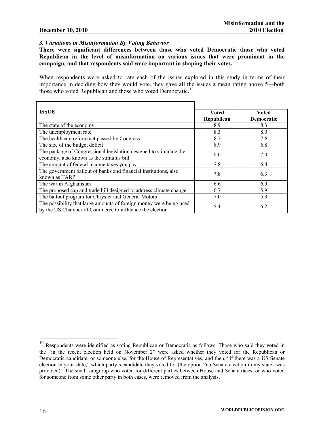#### *3. Variations in Misinformation By Voting Behavior*

**There were significant differences between those who voted Democratic those who voted Republican in the level of misinformation on various issues that were prominent in the campaign, and that respondents said were important in shaping their votes.** 

When respondents were asked to rate each of the issues explored in this study in terms of their importance in deciding how they would vote, they gave all the issues a mean rating above 5—both those who voted Republican and those who voted Democratic.<sup>[19](#page-17-0)</sup>

| <b>ISSUE</b>                                                        | <b>Voted</b> | Voted      |
|---------------------------------------------------------------------|--------------|------------|
|                                                                     | Republican   | Democratic |
| The state of the economy                                            | 8.9          | 8.3        |
| The unemployment rate                                               | 8.3          | 8.0        |
| The healthcare reform act passed by Congress                        | 8.7          | 7.6        |
| The size of the budget deficit                                      | 8.9          | 6.8        |
| The package of Congressional legislation designed to stimulate the  | 8.0          | 7.0        |
| economy, also known as the stimulus bill                            |              |            |
| The amount of federal income taxes you pay                          | 7.8          | 6.4        |
| The government bailout of banks and financial institutions, also    | 7.8          | 6.3        |
| known as TARP                                                       |              |            |
| The war in Afghanistan                                              | 6.6          | 6.9        |
| The proposed cap and trade bill designed to address climate change  | 6.7          | 5.9        |
| The bailout program for Chrysler and General Motors                 | 7.0          | 5.3        |
| The possibility that large amounts of foreign money were being used | 5.4          | 6.2        |
| by the US Chamber of Commerce to influence the election             |              |            |

<span id="page-17-0"></span><sup>&</sup>lt;sup>19</sup> Respondents were identified as voting Republican or Democratic as follows. Those who said they voted in the "in the recent election held on November 2" were asked whether they voted for the Republican or Democratic candidate, or someone else, for the House of Representatives, and then, "if there was a US Senate election in your state," which party's candidate they voted for (the option "no Senate election in my state" was provided). The small subgroup who voted for different parties between House and Senate races, or who voted for someone from some other party in both cases, were removed from the analysis.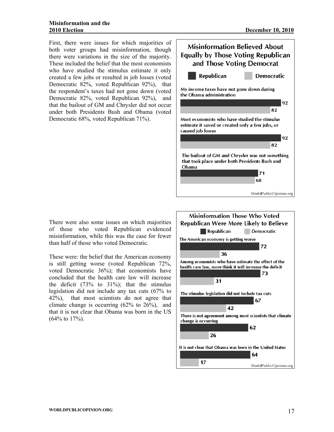First, there were issues for which majorities of both voter groups had misinformation, though there were variations in the size of the majority. These included the belief that the most economists who have studied the stimulus estimate it only created a few jobs or resulted in job losses (voted Democratic 82%, voted Republican 92%), that the respondent's taxes had not gone down (voted Democratic 82%, voted Republican 92%), and that the bailout of GM and Chrysler did not occur under both Presidents Bush and Obama (voted Democratic 68%, voted Republican 71%).



There were also some issues on which majorities of those who voted Republican evidenced misinformation, while this was the case for fewer than half of those who voted Democratic.

These were: the belief that the American economy is still getting worse (voted Republican 72%, voted Democratic 36%); that economists have concluded that the health care law will increase the deficit  $(73\% \text{ to } 31\%)$ ; that the stimulus legislation did not include any tax cuts (67% to 42%), that most scientists do not agree that climate change is occurring  $(62\% \text{ to } 26\%)$ , and that it is not clear that Obama was born in the US (64% to 17%).

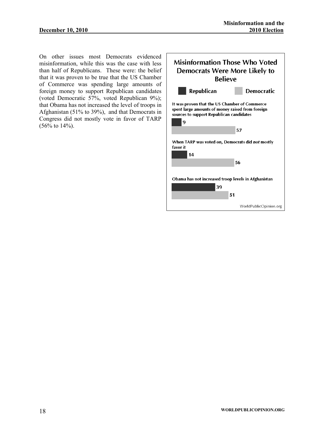On other issues most Democrats evidenced misinformation, while this was the case with less than half of Republicans. These were: the belief that it was proven to be true that the US Chamber of Commerce was spending large amounts of foreign money to support Republican candidates (voted Democratic 57%, voted Republican 9%); that Obama has not increased the level of troops in Afghanistan (51% to 39%), and that Democrats in Congress did not mostly vote in favor of TARP (56% to 14%).

| <b>Misinformation Those Who Voted</b><br>Democrats Were More Likely to<br><b>Believe</b>                                                           |                        |  |  |  |  |  |  |
|----------------------------------------------------------------------------------------------------------------------------------------------------|------------------------|--|--|--|--|--|--|
| Republican                                                                                                                                         | Democratic             |  |  |  |  |  |  |
| It was proven that the US Chamber of Commerce<br>spent large amounts of money raised from foreign<br>sources to support Republican candidates<br>9 |                        |  |  |  |  |  |  |
|                                                                                                                                                    | 57                     |  |  |  |  |  |  |
| When TARP was voted on, Democrats did <i>not</i> mostly<br>favor it<br>14                                                                          |                        |  |  |  |  |  |  |
|                                                                                                                                                    | 56                     |  |  |  |  |  |  |
| Obama has not increased troop levels in Afghanistan<br>39                                                                                          | 51                     |  |  |  |  |  |  |
|                                                                                                                                                    | WorldPublicOpinion.org |  |  |  |  |  |  |
|                                                                                                                                                    |                        |  |  |  |  |  |  |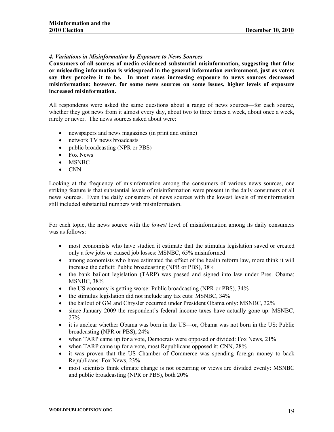#### *4. Variations in Misinformation by Exposure to News Sources*

**Consumers of all sources of media evidenced substantial misinformation, suggesting that false or misleading information is widespread in the general information environment, just as voters say they perceive it to be. In most cases increasing exposure to news sources decreased misinformation; however, for some news sources on some issues, higher levels of exposure increased misinformation.** 

All respondents were asked the same questions about a range of news sources—for each source, whether they got news from it almost every day, about two to three times a week, about once a week, rarely or never. The news sources asked about were:

- newspapers and news magazines (in print and online)
- network TV news broadcasts
- public broadcasting (NPR or PBS)
- Fox News
- MSNBC
- CNN

Looking at the frequency of misinformation among the consumers of various news sources, one striking feature is that substantial levels of misinformation were present in the daily consumers of all news sources. Even the daily consumers of news sources with the lowest levels of misinformation still included substantial numbers with misinformation.

For each topic, the news source with the *lowest* level of misinformation among its daily consumers was as follows:

- most economists who have studied it estimate that the stimulus legislation saved or created only a few jobs or caused job losses: MSNBC, 65% misinformed
- among economists who have estimated the effect of the health reform law, more think it will increase the deficit: Public broadcasting (NPR or PBS), 38%
- the bank bailout legislation (TARP) was passed and signed into law under Pres. Obama: MSNBC, 38%
- the US economy is getting worse: Public broadcasting (NPR or PBS),  $34\%$
- the stimulus legislation did not include any tax cuts: MSNBC, 34%
- the bailout of GM and Chrysler occurred under President Obama only: MSNBC, 32%
- since January 2009 the respondent's federal income taxes have actually gone up: MSNBC, 27%
- it is unclear whether Obama was born in the US—or, Obama was not born in the US: Public broadcasting (NPR or PBS), 24%
- when TARP came up for a vote, Democrats were opposed or divided: Fox News, 21%
- when TARP came up for a vote, most Republicans opposed it: CNN, 28%
- it was proven that the US Chamber of Commerce was spending foreign money to back Republicans: Fox News, 23%
- most scientists think climate change is not occurring or views are divided evenly: MSNBC and public broadcasting (NPR or PBS), both 20%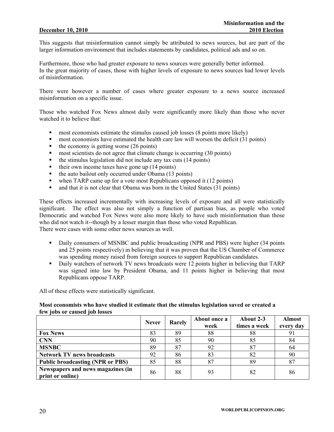This suggests that misinformation cannot simply be attributed to news sources, but are part of the larger information environment that includes statements by candidates, political ads and so on.

Furthermore, those who had greater exposure to news sources were generally better informed. In the great majority of cases, those with higher levels of exposure to news sources had lower levels of misinformation.

There were however a number of cases where greater exposure to a news source increased misinformation on a specific issue.

Those who watched Fox News almost daily were significantly more likely than those who never watched it to believe that:

- most economists estimate the stimulus caused job losses (8 points more likely)
- **n** most economists have estimated the health care law will worsen the deficit (31 points)
- $\blacksquare$  the economy is getting worse (26 points)
- most scientists do not agree that climate change is occurring (30 points)
- $\blacksquare$  the stimulus legislation did not include any tax cuts (14 points)
- $\blacksquare$  their own income taxes have gone up (14 points)
- $\blacksquare$  the auto bailout only occurred under Obama (13 points)
- when TARP came up for a vote most Republicans opposed it (12 points)
- and that it is not clear that Obama was born in the United States (31 points)

These effects increased incrementally with increasing levels of exposure and all were statistically significant. The effect was also not simply a function of partisan bias, as people who voted Democratic and watched Fox News were also more likely to have such misinformation than those who did not watch it--though by a lesser margin than those who voted Republican. There were cases with some other news sources as well.

- Daily consumers of MSNBC and public broadcasting (NPR and PBS) were higher (34 points and 25 points respectively) in believing that it was proven that the US Chamber of Commerce was spending money raised from foreign sources to support Republican candidates.
- Daily watchers of network TV news broadcasts were 12 points higher in believing that TARP was signed into law by President Obama, and 11 points higher in believing that most Republicans oppose TARP.

All of these effects were statistically significant.

#### **Most economists who have studied it estimate that the stimulus legislation saved or created a few jobs or caused job losses**

|                                                       | <b>Never</b> | Rarely | About once a<br>week | About 2-3<br>times a week | <b>Almost</b><br>every day |
|-------------------------------------------------------|--------------|--------|----------------------|---------------------------|----------------------------|
| <b>Fox News</b>                                       | 83           | 89     | 88                   | 88                        | 91                         |
| <b>CNN</b>                                            | 90           | 85     | 90                   | 85                        | 84                         |
| <b>MSNBC</b>                                          | 89           | 87     | 92                   | 87                        | 64                         |
| <b>Network TV news broadcasts</b>                     | 92           | 86     | 83                   | 82                        | 90                         |
| <b>Public broadcasting (NPR or PBS)</b>               | 85           | 88     | 87                   | 89                        | 87                         |
| Newspapers and news magazines (in<br>print or online) | 86           | 88     | 93                   | 82                        | 86                         |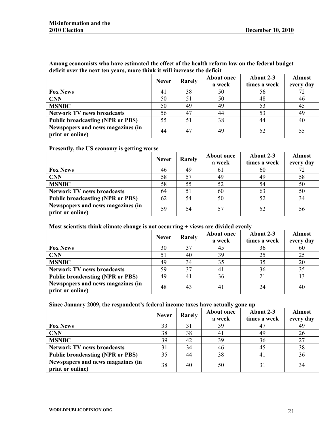**Among economists who have estimated the effect of the health reform law on the federal budget deficit over the next ten years, more think it will increase the deficit** 

|                                                       | <b>Never</b> | Rarely | About once<br>a week | About 2-3<br>times a week | <b>Almost</b><br>every day |
|-------------------------------------------------------|--------------|--------|----------------------|---------------------------|----------------------------|
| <b>Fox News</b>                                       | 41           | 38     | 50                   | 56                        | 72                         |
| <b>CNN</b>                                            | 50           | 51     | 50                   | 48                        | 46                         |
| <b>MSNBC</b>                                          | 50           | 49     | 49                   | 53                        | 45                         |
| <b>Network TV news broadcasts</b>                     | 56           | 47     | 44                   | 53                        | 49                         |
| <b>Public broadcasting (NPR or PBS)</b>               | 55           | 51     | 38                   | 44                        | 40                         |
| Newspapers and news magazines (in<br>print or online) | 44           | 47     | 49                   | 52                        | 55                         |

**Presently, the US economy is getting worse** 

|                                                       | <b>Never</b> | Rarely | <b>About once</b><br>a week | About 2-3<br>times a week | <b>Almost</b><br>every day |
|-------------------------------------------------------|--------------|--------|-----------------------------|---------------------------|----------------------------|
| <b>Fox News</b>                                       | 46           | 49     | 61                          | 60                        | 72                         |
| <b>CNN</b>                                            | 58           |        | 49                          | 49                        | 58                         |
| <b>MSNBC</b>                                          | 58           | 55     | 52                          | 54                        | 50                         |
| <b>Network TV news broadcasts</b>                     | 64           | 51     | 60                          | 63                        | 50                         |
| <b>Public broadcasting (NPR or PBS)</b>               | 62           | 54     | 50                          | 52                        | 34                         |
| Newspapers and news magazines (in<br>print or online) | 59           | 54     | 57                          | 52                        | 56                         |

#### **Most scientists think climate change is not occurring + views are divided evenly**

|                                                       | <b>Never</b> | Rarely | <b>About once</b><br>a week | About 2-3<br>times a week | <b>Almost</b><br>every day |
|-------------------------------------------------------|--------------|--------|-----------------------------|---------------------------|----------------------------|
| <b>Fox News</b>                                       | 30           |        | 45                          | 36                        | 60                         |
| <b>CNN</b>                                            | 51           | 40     | 39                          | 25                        | 25                         |
| <b>MSNBC</b>                                          | 49           | 34     | 35                          | 35                        | 20                         |
| <b>Network TV news broadcasts</b>                     | 59           | 37     | 41                          | 36                        | 35                         |
| <b>Public broadcasting (NPR or PBS)</b>               | 49           | 41     | 36                          |                           | 13                         |
| Newspapers and news magazines (in<br>print or online) | 48           | 43     | 41                          | 24                        | 40                         |

#### **Since January 2009, the respondent's federal income taxes have actually gone up**

|                                                       | <b>Never</b> | Rarely | <b>About once</b><br>a week | About 2-3<br>times a week | <b>Almost</b><br>every day |
|-------------------------------------------------------|--------------|--------|-----------------------------|---------------------------|----------------------------|
| <b>Fox News</b>                                       | 33           | 31     | 39                          |                           | 49                         |
| <b>CNN</b>                                            | 38           | 38     | 41                          | 49                        | 26                         |
| <b>MSNBC</b>                                          | 39           | 42     | 39                          | 36                        | 27                         |
| <b>Network TV news broadcasts</b>                     | 31           | 34     | 46                          | 45                        | 38                         |
| <b>Public broadcasting (NPR or PBS)</b>               | 35           | 44     | 38                          | 4                         | 36                         |
| Newspapers and news magazines (in<br>print or online) | 38           | 40     | 50                          |                           | 34                         |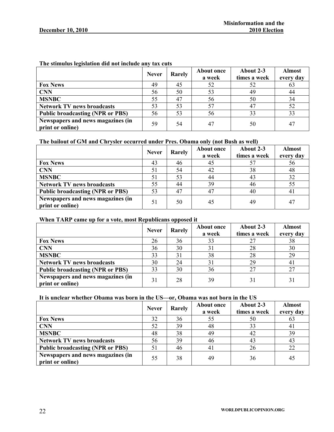|                                                       | <b>Never</b> | Rarely | <b>About once</b><br>a week | About 2-3<br>times a week | <b>Almost</b><br>every day |
|-------------------------------------------------------|--------------|--------|-----------------------------|---------------------------|----------------------------|
| <b>Fox News</b>                                       | 49           | 45     | 52                          | 52                        | 63                         |
| <b>CNN</b>                                            | 56           | 50     | 53                          | 49                        | 44                         |
| <b>MSNBC</b>                                          | 55           | 47     | 56                          | 50                        | 34                         |
| <b>Network TV news broadcasts</b>                     | 53           | 53     | 57                          | 47                        | 52                         |
| <b>Public broadcasting (NPR or PBS)</b>               | 56           | 53     | 56                          | 33                        | 33                         |
| Newspapers and news magazines (in<br>print or online) | 59           | 54     | 47                          | 50                        | 47                         |

### **The stimulus legislation did not include any tax cuts**

### **The bailout of GM and Chrysler occurred under Pres. Obama only (not Bush as well)**

|                                                       | <b>Never</b> | Rarely | <b>About once</b><br>a week | About 2-3<br>times a week | <b>Almost</b><br>every day |
|-------------------------------------------------------|--------------|--------|-----------------------------|---------------------------|----------------------------|
| <b>Fox News</b>                                       | 43           | 46     | 45                          |                           | 56                         |
| <b>CNN</b>                                            | 51           | 54     | 42                          | 38                        | 48                         |
| <b>MSNBC</b>                                          | 51           | 53     | 44                          | 43                        | 32                         |
| <b>Network TV news broadcasts</b>                     | 55           | 44     | 39                          | 46                        | 55                         |
| <b>Public broadcasting (NPR or PBS)</b>               | 53           | 47     | 47                          | 40                        | 41                         |
| Newspapers and news magazines (in<br>print or online) | 51           | 50     | 45                          | 49                        | 47                         |

#### **When TARP came up for a vote, most Republicans opposed it**

|                                                       | <b>Never</b> | Rarely | <b>About once</b><br>a week | About 2-3<br>times a week | <b>Almost</b><br>every day |
|-------------------------------------------------------|--------------|--------|-----------------------------|---------------------------|----------------------------|
| <b>Fox News</b>                                       | 26           | 36     | 33                          |                           | 38                         |
| <b>CNN</b>                                            | 36           | 30     | 31                          | 28                        | 30                         |
| <b>MSNBC</b>                                          | 33           |        | 38                          | 28                        | 29                         |
| <b>Network TV news broadcasts</b>                     | 30           | 24     | 31                          | 29                        | 41                         |
| <b>Public broadcasting (NPR or PBS)</b>               | 33           | 30     | 36                          |                           | 27                         |
| Newspapers and news magazines (in<br>print or online) | 31           | 28     | 39                          |                           | 31                         |

### **It is unclear whether Obama was born in the US—or, Obama was not born in the US**

|                                                       | <b>Never</b> | Rarely | <b>About once</b><br>a week | About 2-3<br>times a week | <b>Almost</b><br>every day |
|-------------------------------------------------------|--------------|--------|-----------------------------|---------------------------|----------------------------|
| <b>Fox News</b>                                       | 32           | 36     | 55                          | 50                        | 63                         |
| <b>CNN</b>                                            | 52           | 39     | 48                          | 33                        | 41                         |
| <b>MSNBC</b>                                          | 48           | 38     | 49                          | 42                        | 39                         |
| <b>Network TV news broadcasts</b>                     | 56           | 39     | 46                          | 43                        | 43                         |
| <b>Public broadcasting (NPR or PBS)</b>               | 51           | 46     | 41                          | 26                        | 22                         |
| Newspapers and news magazines (in<br>print or online) | 55           | 38     | 49                          | 36                        | 45                         |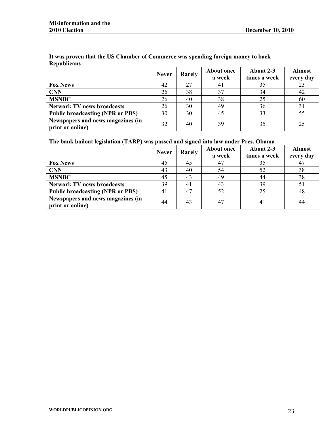|                                                       | <b>Never</b> | Rarely | <b>About once</b><br>a week | About 2-3<br>times a week | <b>Almost</b><br>every day |
|-------------------------------------------------------|--------------|--------|-----------------------------|---------------------------|----------------------------|
| <b>Fox News</b>                                       | 42           | 27     | 4 I                         | 35                        | 23                         |
| <b>CNN</b>                                            | 26           | 38     | 37                          | 34                        | 42                         |
| <b>MSNBC</b>                                          | 26           | 40     | 38                          | 25                        | 60                         |
| <b>Network TV news broadcasts</b>                     | 26           | 30     | 49                          | 36                        | 31                         |
| <b>Public broadcasting (NPR or PBS)</b>               | 30           | 30     | 45                          | 33                        | 55                         |
| Newspapers and news magazines (in<br>print or online) | 32           | 40     | 39                          | 35                        | 25                         |

#### **It was proven that the US Chamber of Commerce was spending foreign money to back Republicans**

### **The bank bailout legislation (TARP) was passed and signed into law under Pres. Obama**

|                                                       | <b>Never</b> | Rarely | <b>About once</b><br>a week | About 2-3<br>times a week | <b>Almost</b><br>every day |
|-------------------------------------------------------|--------------|--------|-----------------------------|---------------------------|----------------------------|
| <b>Fox News</b>                                       | 45           | 45     | 47                          | 35                        | 47                         |
| <b>CNN</b>                                            | 43           | 40     | 54                          | 52                        | 38                         |
| <b>MSNBC</b>                                          | 45           | 43     | 49                          | 44                        | 38                         |
| <b>Network TV news broadcasts</b>                     | 39           | 41     | 43                          | 39                        | 51                         |
| <b>Public broadcasting (NPR or PBS)</b>               | 41           | 47     | 52                          | 25                        | 48                         |
| Newspapers and news magazines (in<br>print or online) | 44           | 43     | 47                          | 41                        | 44                         |